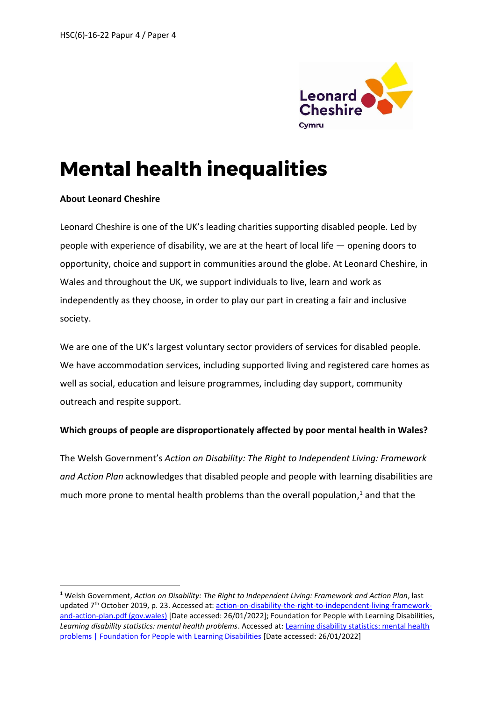

# **Mental health inequalities**

#### **About Leonard Cheshire**

**.** 

Leonard Cheshire is one of the UK's leading charities supporting disabled people. Led by people with experience of disability, we are at the heart of local life — opening doors to opportunity, choice and support in communities around the globe. At Leonard Cheshire, in Wales and throughout the UK, we support individuals to live, learn and work as independently as they choose, in order to play our part in creating a fair and inclusive society.

We are one of the UK's largest voluntary sector providers of services for disabled people. We have accommodation services, including supported living and registered care homes as well as social, education and leisure programmes, including day support, community outreach and respite support.

### **Which groups of people are disproportionately affected by poor mental health in Wales?**

The Welsh Government's *Action on Disability: The Right to Independent Living: Framework and Action Plan* acknowledges that disabled people and people with learning disabilities are much more prone to mental health problems than the overall population, <sup>1</sup> and that the

<sup>1</sup> Welsh Government, *Action on Disability: The Right to Independent Living: Framework and Action Plan*, last updated 7<sup>th</sup> October 2019, p. 23. Accessed at: [action-on-disability-the-right-to-independent-living-framework](https://gov.wales/sites/default/files/publications/2019-09/action-on-disability-the-right-to-independent-living-framework-and-action-plan.pdf)[and-action-plan.pdf \(gov.wales\)](https://gov.wales/sites/default/files/publications/2019-09/action-on-disability-the-right-to-independent-living-framework-and-action-plan.pdf) [Date accessed: 26/01/2022]; Foundation for People with Learning Disabilities, *Learning disability statistics: mental health problems*. Accessed at[: Learning disability statistics: mental health](https://www.learningdisabilities.org.uk/learning-disabilities/help-information/learning-disability-statistics-/187699)  [problems | Foundation for People with Learning Disabilities](https://www.learningdisabilities.org.uk/learning-disabilities/help-information/learning-disability-statistics-/187699) [Date accessed: 26/01/2022]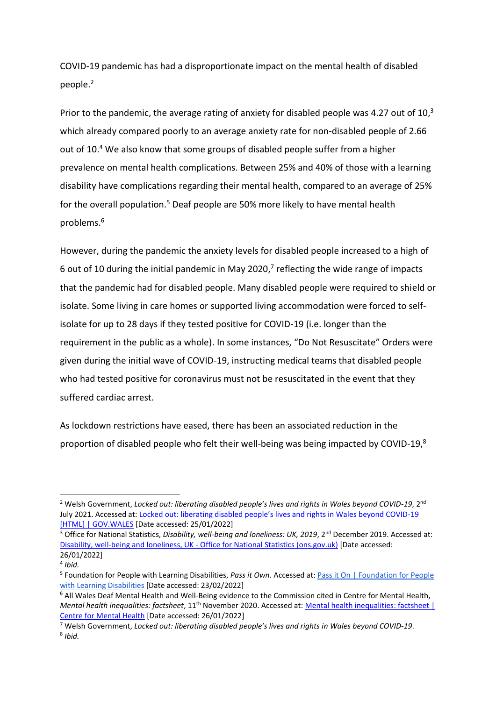COVID-19 pandemic has had a disproportionate impact on the mental health of disabled people.<sup>2</sup>

Prior to the pandemic, the average rating of anxiety for disabled people was 4.27 out of  $10<sup>3</sup>$ which already compared poorly to an average anxiety rate for non-disabled people of 2.66 out of 10.<sup>4</sup> We also know that some groups of disabled people suffer from a higher prevalence on mental health complications. Between 25% and 40% of those with a learning disability have complications regarding their mental health, compared to an average of 25% for the overall population.<sup>5</sup> Deaf people are 50% more likely to have mental health problems.<sup>6</sup>

However, during the pandemic the anxiety levels for disabled people increased to a high of 6 out of 10 during the initial pandemic in May 2020, $7$  reflecting the wide range of impacts that the pandemic had for disabled people. Many disabled people were required to shield or isolate. Some living in care homes or supported living accommodation were forced to selfisolate for up to 28 days if they tested positive for COVID-19 (i.e. longer than the requirement in the public as a whole). In some instances, "Do Not Resuscitate" Orders were given during the initial wave of COVID-19, instructing medical teams that disabled people who had tested positive for coronavirus must not be resuscitated in the event that they suffered cardiac arrest.

As lockdown restrictions have eased, there has been an associated reduction in the proportion of disabled people who felt their well-being was being impacted by COVID-19,<sup>8</sup>

**.** 

<sup>&</sup>lt;sup>2</sup> Welsh Government, *Locked out: liberating disabled people's lives and rights in Wales beyond COVID-19*, 2<sup>nd</sup> July 2021. Accessed at: Lo[cked out: liberating disabled people's lives and rights in Wales beyond COVID](https://gov.wales/locked-out-liberating-disabled-peoples-lives-and-rights-wales-beyond-covid-19-html)-19 [\[HTML\] | GOV.WALES](https://gov.wales/locked-out-liberating-disabled-peoples-lives-and-rights-wales-beyond-covid-19-html) [Date accessed: 25/01/2022]

<sup>&</sup>lt;sup>3</sup> Office for National Statistics, Disability, well-being and loneliness: UK, 2019, 2<sup>nd</sup> December 2019. Accessed at: [Disability, well-being and loneliness, UK -](https://www.ons.gov.uk/peoplepopulationandcommunity/healthandsocialcare/disability/bulletins/disabilitywellbeingandlonelinessuk/2019) Office for National Statistics (ons.gov.uk) [Date accessed: 26/01/2022]

<sup>4</sup> *Ibid.*

<sup>&</sup>lt;sup>5</sup> Foundation for People with Learning Disabilities, Pass it Own. Accessed at: **Pass it On | Foundation for People** [with Learning Disabilities](https://www.learningdisabilities.org.uk/learning-disabilities/our-work/family-friends-community/pass-it-on) [Date accessed: 23/02/2022]

<sup>6</sup> All Wales Deaf Mental Health and Well-Being evidence to the Commission cited in Centre for Mental Health, *Mental health inequalities: factsheet*, 11<sup>th</sup> November 2020. Accessed at: *Mental health inequalities: factsheet* | [Centre for Mental Health](https://www.centreformentalhealth.org.uk/publications/mental-health-inequalities-factsheet) [Date accessed: 26/01/2022]

<sup>7</sup> Welsh Government, *Locked out: liberating disabled people's lives and rights in Wales beyond COVID-19*. 8 *Ibid.*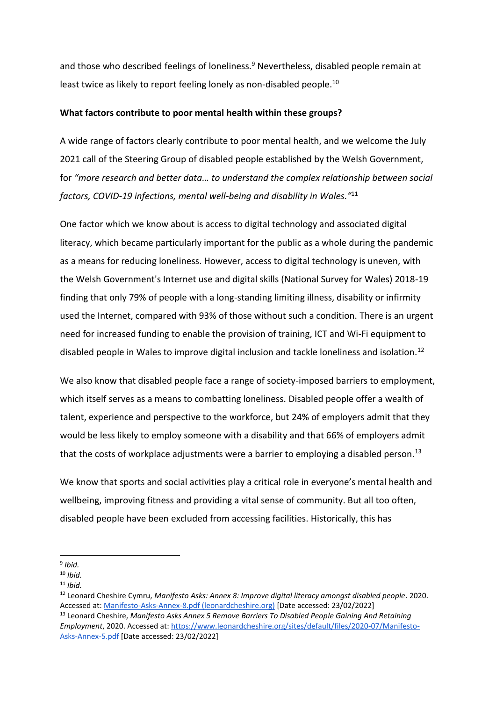and those who described feelings of loneliness.<sup>9</sup> Nevertheless, disabled people remain at least twice as likely to report feeling lonely as non-disabled people.<sup>10</sup>

#### **What factors contribute to poor mental health within these groups?**

A wide range of factors clearly contribute to poor mental health, and we welcome the July 2021 call of the Steering Group of disabled people established by the Welsh Government, for *"more research and better data… to understand the complex relationship between social factors, COVID-19 infections, mental well-being and disability in Wales."* 11

One factor which we know about is access to digital technology and associated digital literacy, which became particularly important for the public as a whole during the pandemic as a means for reducing loneliness. However, access to digital technology is uneven, with the Welsh Government's Internet use and digital skills (National Survey for Wales) 2018-19 finding that only 79% of people with a long-standing limiting illness, disability or infirmity used the Internet, compared with 93% of those without such a condition. There is an urgent need for increased funding to enable the provision of training, ICT and Wi-Fi equipment to disabled people in Wales to improve digital inclusion and tackle loneliness and isolation.<sup>12</sup>

We also know that disabled people face a range of society-imposed barriers to employment, which itself serves as a means to combatting loneliness. Disabled people offer a wealth of talent, experience and perspective to the workforce, but 24% of employers admit that they would be less likely to employ someone with a disability and that 66% of employers admit that the costs of workplace adjustments were a barrier to employing a disabled person.<sup>13</sup>

We know that sports and social activities play a critical role in everyone's mental health and wellbeing, improving fitness and providing a vital sense of community. But all too often, disabled people have been excluded from accessing facilities. Historically, this has

<sup>1</sup> 9 *Ibid.*

<sup>10</sup> *Ibid.*

<sup>11</sup> *Ibid.*

<sup>12</sup> Leonard Cheshire Cymru, *Manifesto Asks: Annex 8: Improve digital literacy amongst disabled people*. 2020. Accessed at[: Manifesto-Asks-Annex-8.pdf \(leonardcheshire.org\)](https://www.leonardcheshire.org/sites/default/files/2020-07/Manifesto-Asks-Annex-8.pdf) [Date accessed: 23/02/2022]

<sup>13</sup> Leonard Cheshire, *Manifesto Asks Annex 5 Remove Barriers To Disabled People Gaining And Retaining Employment*, 2020. Accessed at[: https://www.leonardcheshire.org/sites/default/files/2020-07/Manifesto-](https://www.leonardcheshire.org/sites/default/files/2020-07/Manifesto-Asks-Annex-5.pdf)[Asks-Annex-5.pdf](https://www.leonardcheshire.org/sites/default/files/2020-07/Manifesto-Asks-Annex-5.pdf) [Date accessed: 23/02/2022]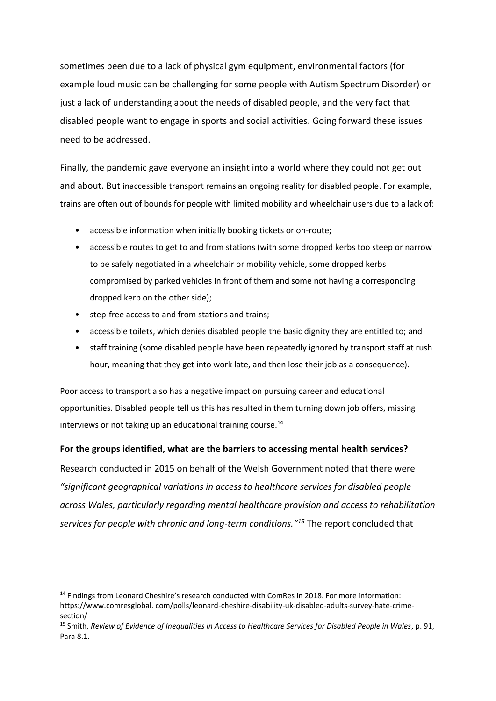sometimes been due to a lack of physical gym equipment, environmental factors (for example loud music can be challenging for some people with Autism Spectrum Disorder) or just a lack of understanding about the needs of disabled people, and the very fact that disabled people want to engage in sports and social activities. Going forward these issues need to be addressed.

Finally, the pandemic gave everyone an insight into a world where they could not get out and about. But inaccessible transport remains an ongoing reality for disabled people. For example, trains are often out of bounds for people with limited mobility and wheelchair users due to a lack of:

- accessible information when initially booking tickets or on-route;
- accessible routes to get to and from stations (with some dropped kerbs too steep or narrow to be safely negotiated in a wheelchair or mobility vehicle, some dropped kerbs compromised by parked vehicles in front of them and some not having a corresponding dropped kerb on the other side);
- step-free access to and from stations and trains;

**.** 

- accessible toilets, which denies disabled people the basic dignity they are entitled to; and
- staff training (some disabled people have been repeatedly ignored by transport staff at rush hour, meaning that they get into work late, and then lose their job as a consequence).

Poor access to transport also has a negative impact on pursuing career and educational opportunities. Disabled people tell us this has resulted in them turning down job offers, missing interviews or not taking up an educational training course.<sup>14</sup>

### **For the groups identified, what are the barriers to accessing mental health services?**

Research conducted in 2015 on behalf of the Welsh Government noted that there were *"significant geographical variations in access to healthcare services for disabled people across Wales, particularly regarding mental healthcare provision and access to rehabilitation services for people with chronic and long-term conditions."<sup>15</sup>* The report concluded that

<sup>&</sup>lt;sup>14</sup> Findings from Leonard Cheshire's research conducted with ComRes in 2018. For more information: https://www.comresglobal. com/polls/leonard-cheshire-disability-uk-disabled-adults-survey-hate-crimesection/

<sup>15</sup> Smith, *Review of Evidence of Inequalities in Access to Healthcare Services for Disabled People in Wales*, p. 91, Para 8.1.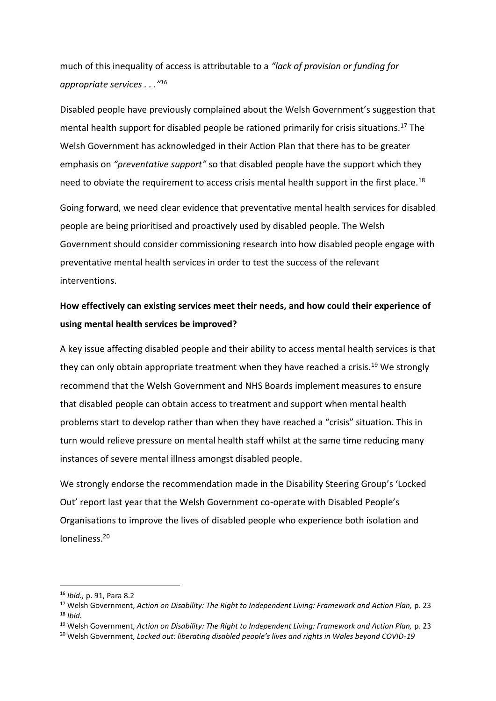much of this inequality of access is attributable to a *"lack of provision or funding for appropriate services . . ."<sup>16</sup>*

Disabled people have previously complained about the Welsh Government's suggestion that mental health support for disabled people be rationed primarily for crisis situations.<sup>17</sup> The Welsh Government has acknowledged in their Action Plan that there has to be greater emphasis on *"preventative support"* so that disabled people have the support which they need to obviate the requirement to access crisis mental health support in the first place.<sup>18</sup>

Going forward, we need clear evidence that preventative mental health services for disabled people are being prioritised and proactively used by disabled people. The Welsh Government should consider commissioning research into how disabled people engage with preventative mental health services in order to test the success of the relevant interventions.

## **How effectively can existing services meet their needs, and how could their experience of using mental health services be improved?**

A key issue affecting disabled people and their ability to access mental health services is that they can only obtain appropriate treatment when they have reached a crisis.<sup>19</sup> We strongly recommend that the Welsh Government and NHS Boards implement measures to ensure that disabled people can obtain access to treatment and support when mental health problems start to develop rather than when they have reached a "crisis" situation. This in turn would relieve pressure on mental health staff whilst at the same time reducing many instances of severe mental illness amongst disabled people.

We strongly endorse the recommendation made in the Disability Steering Group's 'Locked Out' report last year that the Welsh Government co-operate with Disabled People's Organisations to improve the lives of disabled people who experience both isolation and loneliness.<sup>20</sup>

**.** 

<sup>16</sup> *Ibid.,* p. 91, Para 8.2

<sup>17</sup> Welsh Government, *Action on Disability: The Right to Independent Living: Framework and Action Plan,* p. 23 <sup>18</sup> *Ibid.*

<sup>19</sup> Welsh Government, *Action on Disability: The Right to Independent Living: Framework and Action Plan,* p. 23

<sup>20</sup> Welsh Government, *Locked out: liberating disabled people's lives and rights in Wales beyond COVID-19*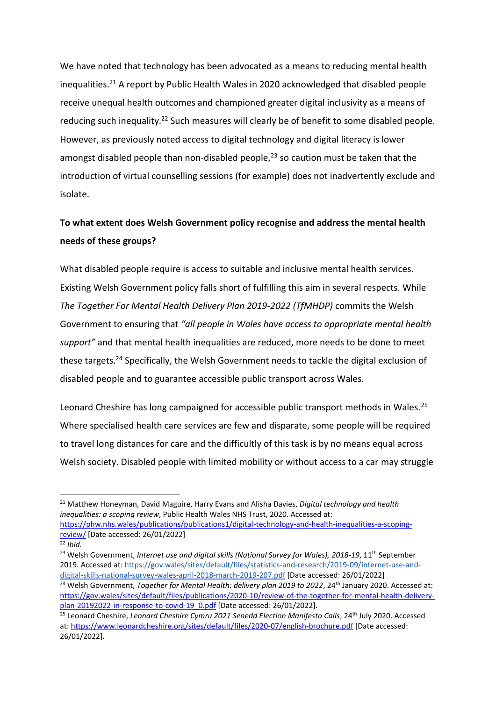We have noted that technology has been advocated as a means to reducing mental health inequalities. <sup>21</sup> A report by Public Health Wales in 2020 acknowledged that disabled people receive unequal health outcomes and championed greater digital inclusivity as a means of reducing such inequality.<sup>22</sup> Such measures will clearly be of benefit to some disabled people. However, as previously noted access to digital technology and digital literacy is lower amongst disabled people than non-disabled people, $^{23}$  so caution must be taken that the introduction of virtual counselling sessions (for example) does not inadvertently exclude and isolate.

## **To what extent does Welsh Government policy recognise and address the mental health needs of these groups?**

What disabled people require is access to suitable and inclusive mental health services. Existing Welsh Government policy falls short of fulfilling this aim in several respects. While *The Together For Mental Health Delivery Plan 2019-2022 (TfMHDP)* commits the Welsh Government to ensuring that *"all people in Wales have access to appropriate mental health support"* and that mental health inequalities are reduced, more needs to be done to meet these targets.<sup>24</sup> Specifically, the Welsh Government needs to tackle the digital exclusion of disabled people and to guarantee accessible public transport across Wales.

Leonard Cheshire has long campaigned for accessible public transport methods in Wales.<sup>25</sup> Where specialised health care services are few and disparate, some people will be required to travel long distances for care and the difficultly of this task is by no means equal across Welsh society. Disabled people with limited mobility or without access to a car may struggle

<sup>21</sup> Matthew Honeyman, David Maguire, Harry Evans and Alisha Davies, *Digital technology and health inequalities: a scoping review*, Public Health Wales NHS Trust, 2020. Accessed at: [https://phw.nhs.wales/publications/publications1/digital-technology-and-health-inequalities-a-scoping-](https://phw.nhs.wales/publications/publications1/digital-technology-and-health-inequalities-a-scoping-review/)

[review/](https://phw.nhs.wales/publications/publications1/digital-technology-and-health-inequalities-a-scoping-review/) [Date accessed: 26/01/2022]

**.** 

<sup>23</sup> Welsh Government, *Internet use and digital skills (National Survey for Wales), 2018-19*, 11<sup>th</sup> September 2019. Accessed at[: https://gov.wales/sites/default/files/statistics-and-research/2019-09/internet-use-and](https://gov.wales/sites/default/files/statistics-and-research/2019-09/internet-use-and-digital-skills-national-survey-wales-april-2018-march-2019-207.pdf)[digital-skills-national-survey-wales-april-2018-march-2019-207.pdf](https://gov.wales/sites/default/files/statistics-and-research/2019-09/internet-use-and-digital-skills-national-survey-wales-april-2018-march-2019-207.pdf) [Date accessed: 26/01/2022] <sup>24</sup> Welsh Government, *Together for Mental Health: delivery plan 2019 to 2022*, 24<sup>th</sup> January 2020. Accessed at:

[https://gov.wales/sites/default/files/publications/2020-10/review-of-the-together-for-mental-health-delivery](https://gov.wales/sites/default/files/publications/2020-10/review-of-the-together-for-mental-health-delivery-plan-20192022-in-response-to-covid-19_0.pdf)[plan-20192022-in-response-to-covid-19\\_0.pdf](https://gov.wales/sites/default/files/publications/2020-10/review-of-the-together-for-mental-health-delivery-plan-20192022-in-response-to-covid-19_0.pdf) [Date accessed: 26/01/2022].

 $\overline{^{22}}$  *Ibid.* 

<sup>&</sup>lt;sup>25</sup> Leonard Cheshire, *Leonard Cheshire Cymru 2021 Senedd Election Manifesto Calls*, 24<sup>th</sup> July 2020. Accessed at:<https://www.leonardcheshire.org/sites/default/files/2020-07/english-brochure.pdf> [Date accessed: 26/01/2022].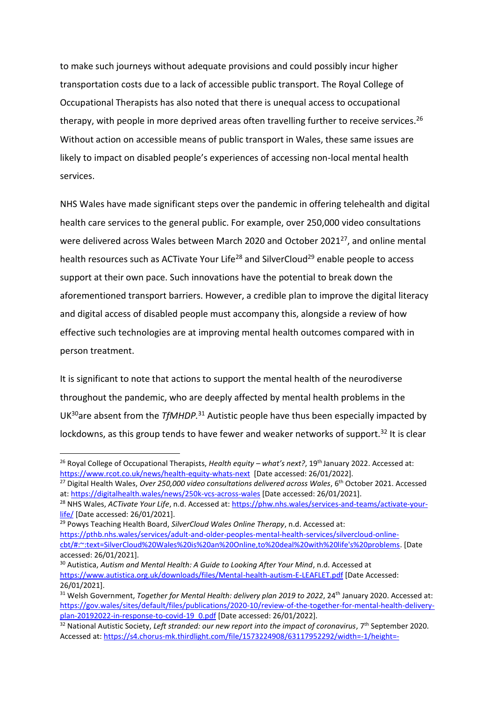to make such journeys without adequate provisions and could possibly incur higher transportation costs due to a lack of accessible public transport. The Royal College of Occupational Therapists has also noted that there is unequal access to occupational therapy, with people in more deprived areas often travelling further to receive services.<sup>26</sup> Without action on accessible means of public transport in Wales, these same issues are likely to impact on disabled people's experiences of accessing non-local mental health services.

NHS Wales have made significant steps over the pandemic in offering telehealth and digital health care services to the general public. For example, over 250,000 video consultations were delivered across Wales between March 2020 and October 2021<sup>27</sup>, and online mental health resources such as ACTivate Your Life<sup>28</sup> and SilverCloud<sup>29</sup> enable people to access support at their own pace. Such innovations have the potential to break down the aforementioned transport barriers. However, a credible plan to improve the digital literacy and digital access of disabled people must accompany this, alongside a review of how effective such technologies are at improving mental health outcomes compared with in person treatment.

It is significant to note that actions to support the mental health of the neurodiverse throughout the pandemic, who are deeply affected by mental health problems in the UK<sup>30</sup>are absent from the *TfMHDP.*<sup>31</sup> Autistic people have thus been especially impacted by lockdowns, as this group tends to have fewer and weaker networks of support.<sup>32</sup> It is clear

 $\overline{a}$ 

<sup>26</sup> Royal College of Occupational Therapists, *Health equity – what's next?*, 19th January 2022. Accessed at: <https://www.rcot.co.uk/news/health-equity-whats-next>[Date accessed: 26/01/2022].

<sup>&</sup>lt;sup>27</sup> Digital Health Wales, *Over 250,000 video consultations delivered across Wales*, 6<sup>th</sup> October 2021. Accessed at:<https://digitalhealth.wales/news/250k-vcs-across-wales> [Date accessed: 26/01/2021].

<sup>&</sup>lt;sup>28</sup> NHS Wales, *ACTivate Your Life*, n.d. Accessed at[: https://phw.nhs.wales/services-and-teams/activate-your](https://phw.nhs.wales/services-and-teams/activate-your-life/)[life/](https://phw.nhs.wales/services-and-teams/activate-your-life/) [Date accessed: 26/01/2021].

<sup>29</sup> Powys Teaching Health Board, *SilverCloud Wales Online Therapy*, n.d. Accessed at: [https://pthb.nhs.wales/services/adult-and-older-peoples-mental-health-services/silvercloud-online](https://pthb.nhs.wales/services/adult-and-older-peoples-mental-health-services/silvercloud-online-cbt/#:~:text=SilverCloud%20Wales%20is%20an%20Online,to%20deal%20with%20life)[cbt/#:~:text=SilverCloud%20Wales%20is%20an%20Online,to%20deal%20with%20life's%20problems.](https://pthb.nhs.wales/services/adult-and-older-peoples-mental-health-services/silvercloud-online-cbt/#:~:text=SilverCloud%20Wales%20is%20an%20Online,to%20deal%20with%20life) [Date accessed: 26/01/2021].

<sup>30</sup> Autistica, *Autism and Mental Health: A Guide to Looking After Your Mind*, n.d. Accessed at <https://www.autistica.org.uk/downloads/files/Mental-health-autism-E-LEAFLET.pdf> [Date Accessed: 26/01/2021].

<sup>&</sup>lt;sup>31</sup> Welsh Government, *Together for Mental Health: delivery plan 2019 to 2022*, 24<sup>th</sup> January 2020. Accessed at: [https://gov.wales/sites/default/files/publications/2020-10/review-of-the-together-for-mental-health-delivery](https://gov.wales/sites/default/files/publications/2020-10/review-of-the-together-for-mental-health-delivery-plan-20192022-in-response-to-covid-19_0.pdf)[plan-20192022-in-response-to-covid-19\\_0.pdf](https://gov.wales/sites/default/files/publications/2020-10/review-of-the-together-for-mental-health-delivery-plan-20192022-in-response-to-covid-19_0.pdf) [Date accessed: 26/01/2022].

<sup>&</sup>lt;sup>32</sup> National Autistic Society, *Left stranded: our new report into the impact of coronavirus*, 7<sup>th</sup> September 2020. Accessed at[: https://s4.chorus-mk.thirdlight.com/file/1573224908/63117952292/width=-1/height=-](https://s4.chorus-mk.thirdlight.com/file/1573224908/63117952292/width=-1/height=-1/format=-1/fit=scale/t=444295/e=never/k=da5c189a/LeftStranded%20Report.pdf)